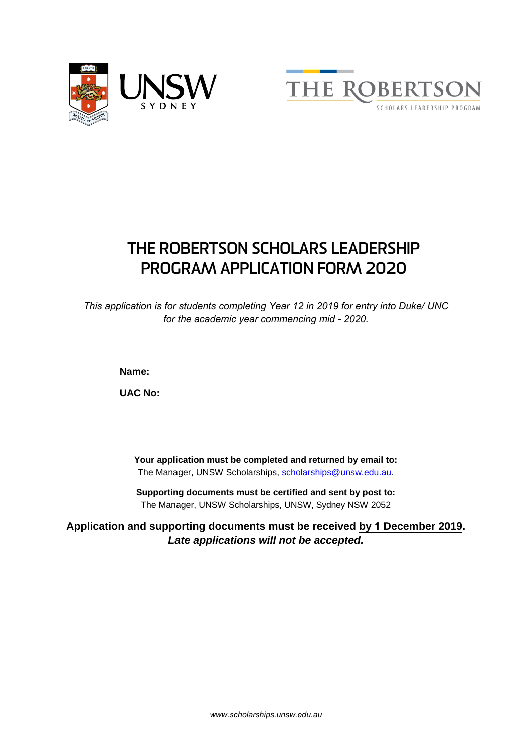



# **THE ROBERTSON SCHOLARS LEADERSHIP PROGRAM APPLICATION FORM 2020**

*This application is for students completing Year 12 in 2019 for entry into Duke/ UNC for the academic year commencing mid - 2020.* 

**Name:**

**UAC No:**

**Your application must be completed and returned by email to:** The Manager, UNSW Scholarships, [scholarships@unsw.edu.au.](mailto:scholarships@unsw.edu.au)

**Supporting documents must be certified and sent by post to:**  The Manager, UNSW Scholarships, UNSW, Sydney NSW 2052

**Application and supporting documents must be received by 1 December 2019.**  *Late applications will not be accepted.*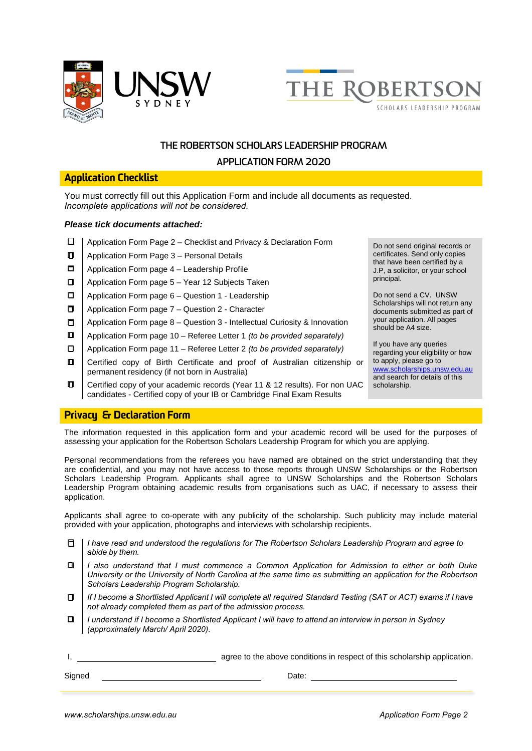



#### **APPLICATION FORM 2020**

#### Application Checklist

You must correctly fill out this Application Form and include all documents as requested. *Incomplete applications will not be considered.*

#### *Please tick documents attached:*

- □ Application Form Page 2 Checklist and Privacy & Declaration Form Do not send original records or
- $\Box$  | Application Form Page 3 Personal Details
- $\Box$  Application Form page 4 Leadership Profile
- $\Box$  | Application Form page 5 Year 12 Subjects Taken
- $\Box$  Application Form page 6 Question 1 Leadership
- $\Box$  Application Form page 7 Question 2 Character
- $\Box$  Application Form page 8 Question 3 Intellectual Curiosity & Innovation
- Application Form page 10 Referee Letter 1 *(to be provided separately)*
- Application Form page 11 Referee Letter 2 *(to be provided separately)*
- Certified copy of Birth Certificate and proof of Australian citizenship or permanent residency (if not born in Australia)
- Certified copy of your academic records (Year 11 & 12 results). For non UAC candidates - Certified copy of your IB or Cambridge Final Exam Results

certificates. Send only copies that have been certified by a J.P, a solicitor, or your school principal.

Do not send a CV. UNSW Scholarships will not return any documents submitted as part of your application. All pages should be A4 size.

If you have any queries regarding your eligibility or how to apply, please go to [www.scholarships.unsw.edu.au](http://www.scholarships.unsw.edu.au/) and search for details of this scholarship.

#### Privacy & Declaration Form

The information requested in this application form and your academic record will be used for the purposes of assessing your application for the Robertson Scholars Leadership Program for which you are applying.

Personal recommendations from the referees you have named are obtained on the strict understanding that they are confidential, and you may not have access to those reports through UNSW Scholarships or the Robertson Scholars Leadership Program. Applicants shall agree to UNSW Scholarships and the Robertson Scholars Leadership Program obtaining academic results from organisations such as UAC, if necessary to assess their application.

Applicants shall agree to co-operate with any publicity of the scholarship. Such publicity may include material provided with your application, photographs and interviews with scholarship recipients.

- $\Box$ *I have read and understood the regulations for The Robertson Scholars Leadership Program and agree to abide by them.*
- O) *I also understand that I must commence a Common Application for Admission to either or both Duke University or the University of North Carolina at the same time as submitting an application for the Robertson Scholars Leadership Program Scholarship.*
- 0 *If I become a Shortlisted Applicant I will complete all required Standard Testing (SAT or ACT) exams if I have not already completed them as part of the admission process.*
- $\Box$ *I understand if I become a Shortlisted Applicant I will have to attend an interview in person in Sydney (approximately March/ April 2020).*

I, and the above conditions in respect of this scholarship application.

Signed Date: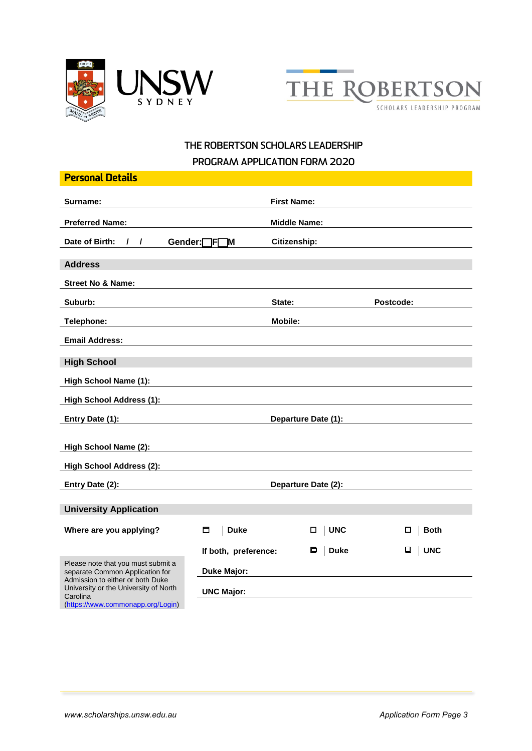



# **THE ROBERTSON SCHOLARS LEADERSHIP PROGRAM APPLICATION FORM 2020**

|                                                    | <b>First Name:</b>  |                                                      |  |
|----------------------------------------------------|---------------------|------------------------------------------------------|--|
|                                                    | <b>Middle Name:</b> |                                                      |  |
| Gender: <sub>[FF]</sub><br>1M                      | Citizenship:        |                                                      |  |
|                                                    |                     |                                                      |  |
|                                                    |                     |                                                      |  |
|                                                    | State:              | Postcode:                                            |  |
|                                                    | Mobile:             |                                                      |  |
|                                                    |                     |                                                      |  |
|                                                    |                     |                                                      |  |
|                                                    |                     |                                                      |  |
|                                                    |                     |                                                      |  |
|                                                    | Departure Date (1): |                                                      |  |
|                                                    |                     |                                                      |  |
|                                                    |                     |                                                      |  |
| <b>High School Address (2):</b><br>Entry Date (2): |                     |                                                      |  |
|                                                    |                     |                                                      |  |
|                                                    |                     |                                                      |  |
| ◘                                                  | $\Box$              | □<br><b>Both</b>                                     |  |
|                                                    | $\Box$ Duke         | □<br>  UNC                                           |  |
| <b>Duke Major:</b>                                 |                     |                                                      |  |
| <b>UNC Major:</b>                                  |                     |                                                      |  |
|                                                    | <b>Duke</b>         | Departure Date (2):<br>  UNC<br>If both, preference: |  |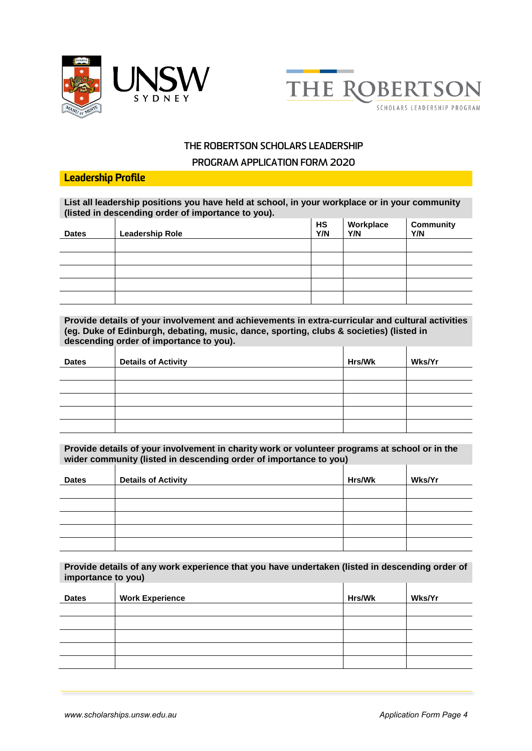



#### **PROGRAM APPLICATION FORM 2020**

#### Leadership Profile

**List all leadership positions you have held at school, in your workplace or in your community (listed in descending order of importance to you).**

| <b>Dates</b> | <b>Leadership Role</b> | HS<br>Y/N | Workplace<br>Y/N | <b>Community</b><br>Y/N |
|--------------|------------------------|-----------|------------------|-------------------------|
|              |                        |           |                  |                         |
|              |                        |           |                  |                         |
|              |                        |           |                  |                         |
|              |                        |           |                  |                         |
|              |                        |           |                  |                         |

**Provide details of your involvement and achievements in extra-curricular and cultural activities (eg. Duke of Edinburgh, debating, music, dance, sporting, clubs & societies) (listed in descending order of importance to you).**   $\overline{1}$  $\overline{1}$ 

| <b>Dates</b> | <b>Details of Activity</b> | Hrs/Wk | Wks/Yr |
|--------------|----------------------------|--------|--------|
|              |                            |        |        |
|              |                            |        |        |
|              |                            |        |        |
|              |                            |        |        |
|              |                            |        |        |

**Provide details of your involvement in charity work or volunteer programs at school or in the wider community (listed in descending order of importance to you)**

| <b>Dates</b> | <b>Details of Activity</b> | Hrs/Wk | Wks/Yr |
|--------------|----------------------------|--------|--------|
|              |                            |        |        |
|              |                            |        |        |
|              |                            |        |        |
|              |                            |        |        |
|              |                            |        |        |

**Provide details of any work experience that you have undertaken (listed in descending order of importance to you)**

| <b>Dates</b> | <b>Work Experience</b> | Hrs/Wk | Wks/Yr |
|--------------|------------------------|--------|--------|
|              |                        |        |        |
|              |                        |        |        |
|              |                        |        |        |
|              |                        |        |        |
|              |                        |        |        |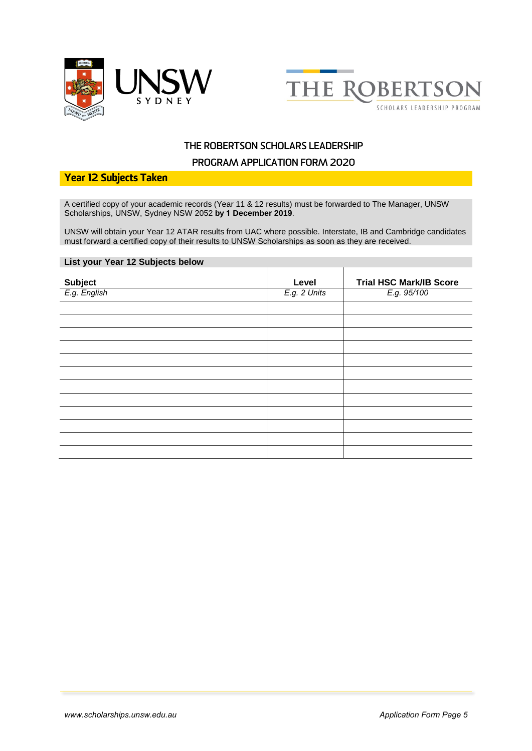



#### **PROGRAM APPLICATION FORM 2020**

#### Year 12 Subjects Taken

A certified copy of your academic records (Year 11 & 12 results) must be forwarded to The Manager, UNSW Scholarships, UNSW, Sydney NSW 2052 **by 1 December 2019**.

UNSW will obtain your Year 12 ATAR results from UAC where possible. Interstate, IB and Cambridge candidates must forward a certified copy of their results to UNSW Scholarships as soon as they are received.

#### **List your Year 12 Subjects below**

| Level        | <b>Trial HSC Mark/IB Score</b> |
|--------------|--------------------------------|
| E.g. 2 Units | E.g. 95/100                    |
|              |                                |
|              |                                |
|              |                                |
|              |                                |
|              |                                |
|              |                                |
|              |                                |
|              |                                |
|              |                                |
|              |                                |
|              |                                |
|              |                                |
|              |                                |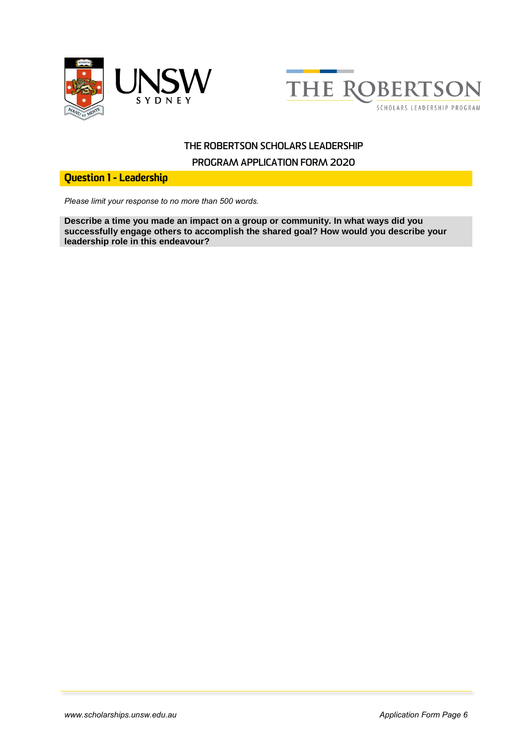



**PROGRAM APPLICATION FORM 2020**

Question 1 - Leadership

*Please limit your response to no more than 500 words.*

**Describe a time you made an impact on a group or community. In what ways did you successfully engage others to accomplish the shared goal? How would you describe your leadership role in this endeavour?**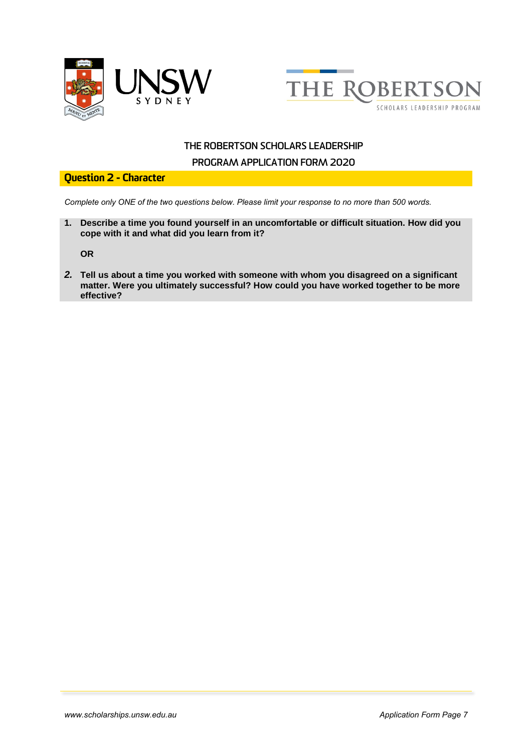



#### **PROGRAM APPLICATION FORM 2020**

#### Question 2 - Character

*Complete only ONE of the two questions below. Please limit your response to no more than 500 words.*

**1. Describe a time you found yourself in an uncomfortable or difficult situation. How did you cope with it and what did you learn from it?**

**OR**

*2.* **Tell us about a time you worked with someone with whom you disagreed on a significant matter. Were you ultimately successful? How could you have worked together to be more effective?**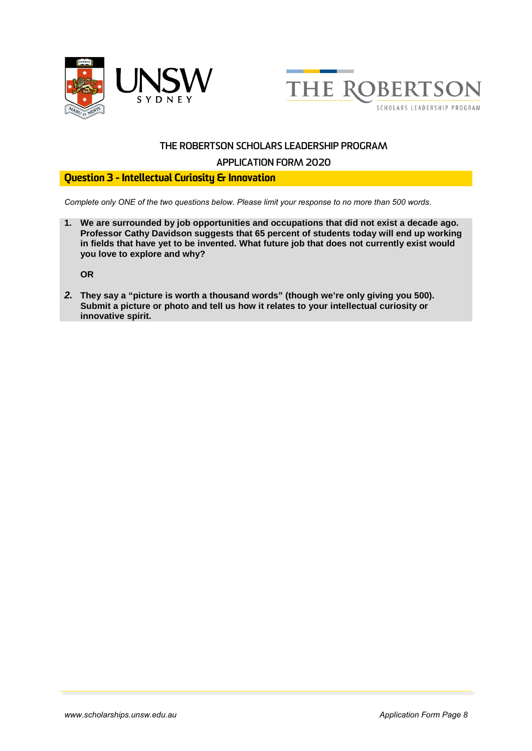



#### **APPLICATION FORM 2020**

## Question 3 - Intellectual Curiosity & Innovation

*Complete only ONE of the two questions below. Please limit your response to no more than 500 words.*

**1. We are surrounded by job opportunities and occupations that did not exist a decade ago. Professor Cathy Davidson suggests that 65 percent of students today will end up working in fields that have yet to be invented. What future job that does not currently exist would you love to explore and why?**

**OR**

*2.* **They say a "picture is worth a thousand words" (though we're only giving you 500). Submit a picture or photo and tell us how it relates to your intellectual curiosity or innovative spirit.**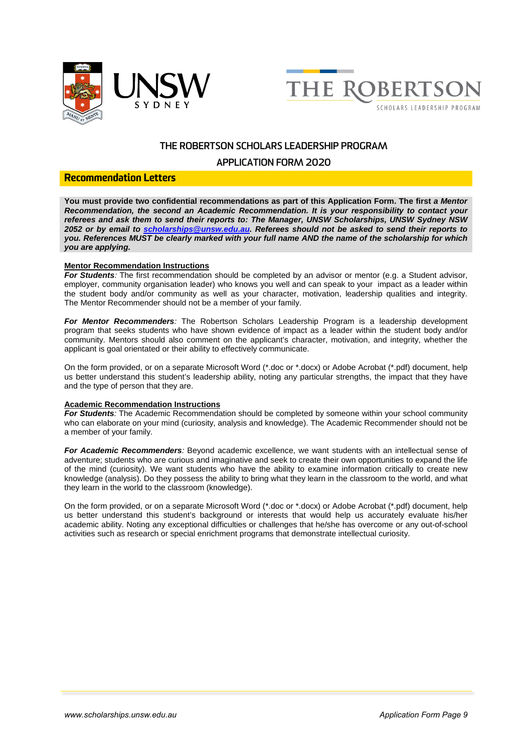



#### **APPLICATION FORM 2020**

#### Recommendation Letters

**You must provide two confidential recommendations as part of this Application Form. The first** *a Mentor Recommendation, the second an Academic Recommendation. It is your responsibility to contact your referees and ask them to send their reports to: The Manager, UNSW Scholarships, UNSW Sydney NSW 2052 or by email to [scholarships@unsw.edu.au.](mailto:scholarships@unsw.edu.au) Referees should not be asked to send their reports to you. References MUST be clearly marked with your full name AND the name of the scholarship for which you are applying.* 

#### **Mentor Recommendation Instructions**

*For Students:* The first recommendation should be completed by an advisor or mentor (e.g. a Student advisor, employer, community organisation leader) who knows you well and can speak to your impact as a leader within the student body and/or community as well as your character, motivation, leadership qualities and integrity. The Mentor Recommender should not be a member of your family.

*For Mentor Recommenders:* The Robertson Scholars Leadership Program is a leadership development program that seeks students who have shown evidence of impact as a leader within the student body and/or community. Mentors should also comment on the applicant's character, motivation, and integrity, whether the applicant is goal orientated or their ability to effectively communicate.

On the form provided, or on a separate Microsoft Word (\*.doc or \*.docx) or Adobe Acrobat (\*.pdf) document, help us better understand this student's leadership ability, noting any particular strengths, the impact that they have and the type of person that they are.

#### **Academic Recommendation Instructions**

*For Students:* The Academic Recommendation should be completed by someone within your school community who can elaborate on your mind (curiosity, analysis and knowledge). The Academic Recommender should not be a member of your family.

*For Academic Recommenders:* Beyond academic excellence, we want students with an intellectual sense of adventure; students who are curious and imaginative and seek to create their own opportunities to expand the life of the mind (curiosity). We want students who have the ability to examine information critically to create new knowledge (analysis). Do they possess the ability to bring what they learn in the classroom to the world, and what they learn in the world to the classroom (knowledge).

On the form provided, or on a separate Microsoft Word (\*.doc or \*.docx) or Adobe Acrobat (\*.pdf) document, help us better understand this student's background or interests that would help us accurately evaluate his/her academic ability. Noting any exceptional difficulties or challenges that he/she has overcome or any out-of-school activities such as research or special enrichment programs that demonstrate intellectual curiosity.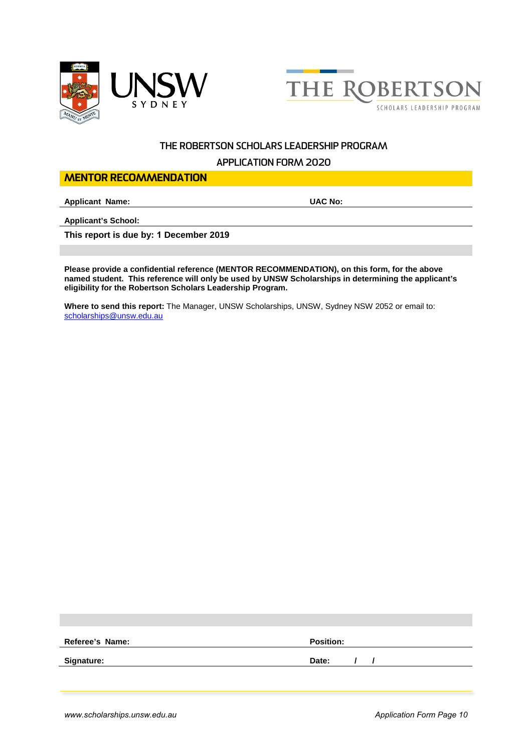



#### **APPLICATION FORM 2020**

#### MENTOR RECOMMENDATION

**Applicant Name: UAC No:**

**Applicant's School:**

**This report is due by: 1 December 2019**

**Please provide a confidential reference (MENTOR RECOMMENDATION), on this form, for the above named student. This reference will only be used by UNSW Scholarships in determining the applicant's eligibility for the Robertson Scholars Leadership Program.**

**Where to send this report:** The Manager, UNSW Scholarships, UNSW, Sydney NSW 2052 or email to: [scholarships@unsw.edu.au](mailto:scholarships@unsw.edu.au)

| Referee's Name:   | <b>Position:</b> |
|-------------------|------------------|
| <b>Signature:</b> | Date:            |